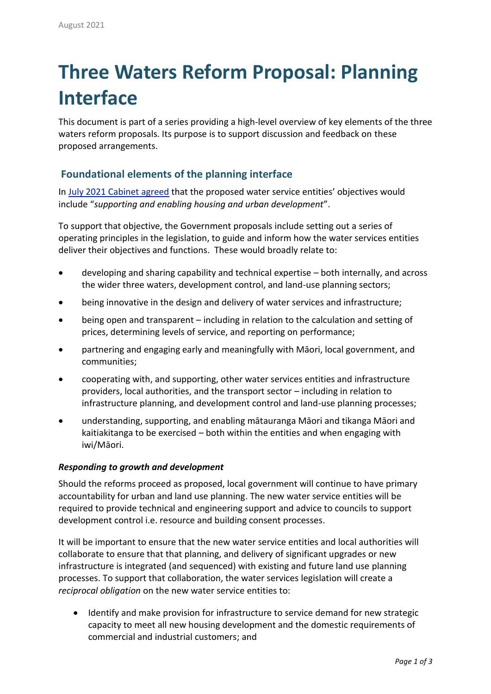# **Three Waters Reform Proposal: Planning Interface**

This document is part of a series providing a high-level overview of key elements of the three waters reform proposals. Its purpose is to support discussion and feedback on these proposed arrangements.

## **Foundational elements of the planning interface**

In July 2021 [Cabinet](https://www.dia.govt.nz/diawebsite.nsf/Files/Three-waters-reform-programme/$file/cabinet-paper-one-and-minute-a-new-system-for-three-waters-service-delivery.pdf) agreed that the proposed water service entities' objectives would include "*supporting and enabling housing and urban development*".

To support that objective, the Government proposals include setting out a series of operating principles in the legislation, to guide and inform how the water services entities deliver their objectives and functions. These would broadly relate to:

- developing and sharing capability and technical expertise both internally, and across the wider three waters, development control, and land-use planning sectors;
- being innovative in the design and delivery of water services and infrastructure;
- being open and transparent including in relation to the calculation and setting of prices, determining levels of service, and reporting on performance;
- partnering and engaging early and meaningfully with Māori, local government, and communities;
- cooperating with, and supporting, other water services entities and infrastructure providers, local authorities, and the transport sector – including in relation to infrastructure planning, and development control and land-use planning processes;
- understanding, supporting, and enabling mātauranga Māori and tikanga Māori and kaitiakitanga to be exercised – both within the entities and when engaging with iwi/Māori.

### *Responding to growth and development*

Should the reforms proceed as proposed, local government will continue to have primary accountability for urban and land use planning. The new water service entities will be required to provide technical and engineering support and advice to councils to support development control i.e. resource and building consent processes.

It will be important to ensure that the new water service entities and local authorities will collaborate to ensure that that planning, and delivery of significant upgrades or new infrastructure is integrated (and sequenced) with existing and future land use planning processes. To support that collaboration, the water services legislation will create a *reciprocal obligation* on the new water service entities to:

• Identify and make provision for infrastructure to service demand for new strategic capacity to meet all new housing development and the domestic requirements of commercial and industrial customers; and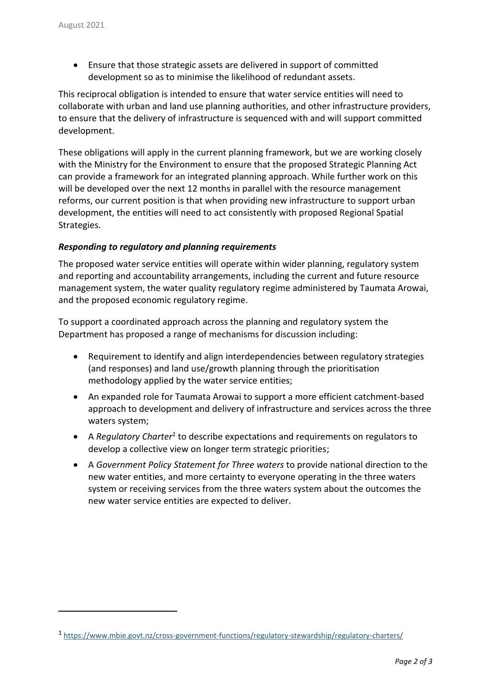l

• Ensure that those strategic assets are delivered in support of committed development so as to minimise the likelihood of redundant assets.

This reciprocal obligation is intended to ensure that water service entities will need to collaborate with urban and land use planning authorities, and other infrastructure providers, to ensure that the delivery of infrastructure is sequenced with and will support committed development.

These obligations will apply in the current planning framework, but we are working closely with the Ministry for the Environment to ensure that the proposed Strategic Planning Act can provide a framework for an integrated planning approach. While further work on this will be developed over the next 12 months in parallel with the resource management reforms, our current position is that when providing new infrastructure to support urban development, the entities will need to act consistently with proposed Regional Spatial Strategies.

#### *Responding to regulatory and planning requirements*

The proposed water service entities will operate within wider planning, regulatory system and reporting and accountability arrangements, including the current and future resource management system, the water quality regulatory regime administered by Taumata Arowai, and the proposed economic regulatory regime.

To support a coordinated approach across the planning and regulatory system the Department has proposed a range of mechanisms for discussion including:

- Requirement to identify and align interdependencies between regulatory strategies (and responses) and land use/growth planning through the prioritisation methodology applied by the water service entities;
- An expanded role for Taumata Arowai to support a more efficient catchment-based approach to development and delivery of infrastructure and services across the three waters system;
- A *Regulatory Charter<sup>1</sup>* to describe expectations and requirements on regulators to develop a collective view on longer term strategic priorities;
- A *Government Policy Statement for Three waters* to provide national direction to the new water entities, and more certainty to everyone operating in the three waters system or receiving services from the three waters system about the outcomes the new water service entities are expected to deliver.

<sup>1</sup> <https://www.mbie.govt.nz/cross-government-functions/regulatory-stewardship/regulatory-charters/>